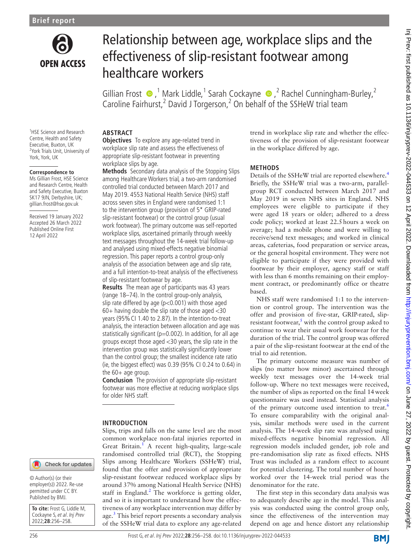

# Relationship between age, workplace slips and the effectiveness of slip-resistant footwear among healthcare workers

GillianFrost  $\bullet$ , <sup>1</sup> Mark Liddle, <sup>1</sup> Sarah Cockayne  $\bullet$ , <sup>2</sup> Rachel Cunningham-Burley, <sup>2</sup> Caroline Fairhurst,<sup>2</sup> David J Torgerson,<sup>2</sup> On behalf of the SSHeW trial team

1 HSE Science and Research Centre, Health and Safety Executive, Buxton, UK <sup>2</sup>York Trials Unit, University of York, York, UK

#### **Correspondence to**

Ms Gillian Frost, HSE Science and Research Centre, Health and Safety Executive, Buxton SK17 9JN, Derbyshire, UK; gillian.frost@hse.gov.uk

Received 19 January 2022 Accepted 26 March 2022 Published Online First 12 April 2022

#### **ABSTRACT**

**Objectives** To explore any age-related trend in workplace slip rate and assess the effectiveness of appropriate slip-resistant footwear in preventing workplace slips by age.

**Methods** Secondary data analysis of the Stopping Slips among Healthcare Workers trial, a two-arm randomised controlled trial conducted between March 2017 and May 2019. 4553 National Health Service (NHS) staff across seven sites in England were randomised 1:1 to the intervention group (provision of 5\* GRIP-rated slip-resistant footwear) or the control group (usual work footwear). The primary outcome was self-reported workplace slips, ascertained primarily through weekly text messages throughout the 14-week trial follow-up and analysed using mixed-effects negative binomial regression. This paper reports a control group-only analysis of the association between age and slip rate, and a full intention-to-treat analysis of the effectiveness of slip-resistant footwear by age.

**Results** The mean age of participants was 43 years (range 18–74). In the control group-only analysis, slip rate differed by age (p<0.001) with those aged  $60+$  having double the slip rate of those aged  $<$ 30 years (95%CI 1.40 to 2.87). In the intention-to-treat analysis, the interaction between allocation and age was statistically significant ( $p=0.002$ ). In addition, for all age groups except those aged <30 years, the slip rate in the intervention group was statistically significantly lower than the control group; the smallest incidence rate ratio (ie, the biggest effect) was 0.39 (95% CI 0.24 to 0.64) in the 60+ age group.

**Conclusion** The provision of appropriate slip-resistant footwear was more effective at reducing workplace slips for older NHS staff.

#### **INTRODUCTION**

Slips, trips and falls on the same level are the most common workplace non-fatal injuries reported in Great Britain.<sup>1</sup> A recent high-quality, large-scale randomised controlled trial (RCT), the Stopping Slips among Healthcare Workers (SSHeW) trial, found that the offer and provision of appropriate slip-resistant footwear reduced workplace slips by around 37% among National Health Service (NHS) staff in England.<sup>[2](#page-2-1)</sup> The workforce is getting older, and so it is important to understand how the effectiveness of any workplace intervention may differ by age.<sup>3</sup> This brief report presents a secondary analysis of the SSHeW trial data to explore any age-related

trend in workplace slip rate and whether the effectiveness of the provision of slip-resistant footwear in the workplace differed by age.

#### **METHODS**

Details of the SSHeW trial are reported elsewhere.<sup>[4](#page-2-3)</sup> Briefly, the SSHeW trial was a two-arm, parallelgroup RCT conducted between March 2017 and May 2019 in seven NHS sites in England. NHS employees were eligible to participate if they were aged 18 years or older; adhered to a dress code policy; worked at least 22.5hours a week on average; had a mobile phone and were willing to receive/send text messages; and worked in clinical areas, cafeterias, food preparation or service areas, or the general hospital environment. They were not eligible to participate if they were provided with footwear by their employer, agency staff or staff with less than 6 months remaining on their employment contract, or predominantly office or theatre based.

NHS staff were randomised 1:1 to the intervention or control group. The intervention was the offer and provision of five-star, GRIP-rated, slipresistant footwear, $\frac{5}{3}$  $\frac{5}{3}$  $\frac{5}{3}$  with the control group asked to continue to wear their usual work footwear for the duration of the trial. The control group was offered a pair of the slip-resistant footwear at the end of the trial to aid retention.

The primary outcome measure was number of slips (no matter how minor) ascertained through weekly text messages over the 14-week trial follow-up. Where no text messages were received, the number of slips as reported on the final 14week questionnaire was used instead. Statistical analysis of the primary outcome used intention to treat.<sup>[6](#page-2-5)</sup> To ensure comparability with the original analysis, similar methods were used in the current analysis. The 14-week slip rate was analysed using mixed-effects negative binomial regression. All regression models included gender, job role and pre-randomisation slip rate as fixed effects. NHS Trust was included as a random effect to account for potential clustering. The total number of hours worked over the 14-week trial period was the denominator for the rate.

The first step in this secondary data analysis was to adequately describe age in the model. This analysis was conducted using the control group only, since the effectiveness of the intervention may depend on age and hence distort any relationship

## Check for updates

© Author(s) (or their employer(s)) 2022. Re-use permitted under CC BY. Published by BMJ.

**To cite:** Frost G, Liddle M, Cockayne S, et al. Inj Prev 2022;**28**:256–258.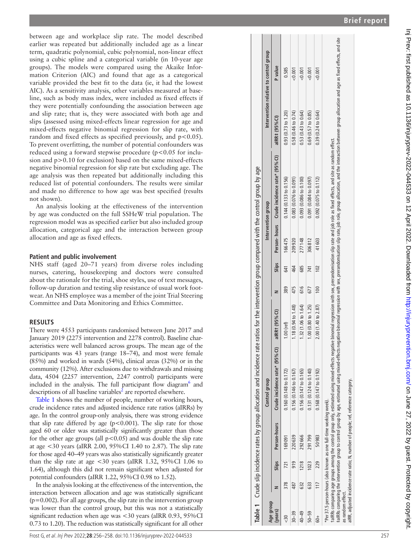between age and workplace slip rate. The model described earlier was repeated but additionally included age as a linear term, quadratic polynomial, cubic polynomial, non-linear effect using a cubic spline and a categorical variable (in 10-year age groups). The models were compared using the Akaike Infor mation Criterion (AIC) and found that age as a categorical variable provided the best fit to the data (ie, it had the lowest AIC). As a sensitivity analysis, other variables measured at base line, such as body mass index, were included as fixed effects if they were potentially confounding the association between age and slip rate; that is, they were associated with both age and slips (assessed using mixed-effects linear regression for age and mixed-effects negative binomial regression for slip rate, with random and fixed effects as specified previously, and p<0.05). To prevent overfitting, the number of potential confounders was reduced using a forward stepwise procedure (p<0.05 for inclusion and p>0.10 for exclusion) based on the same mixed-effects negative binomial regression for slip rate but excluding age. The age analysis was then repeated but additionally including this reduced list of potential confounders. The results were similar and made no difference to how age was best specified (results not shown).

An analysis looking at the effectiveness of the intervention by age was conducted on the full SSHeW trial population. The regression model was as specified earlier but also included group allocation, categorical age and the interaction between group allocation and age as fixed effects.

## **Patient and public involvement**

NHS staff (aged 20–71 years) from diverse roles including nurses, catering, housekeeping and doctors were consulted about the rationale for the trial, shoe styles, use of text messages, follow-up duration and testing slip resistance of usual work foot wear. An NHS employee was a member of the joint Trial Steering Committee and Data Monitoring and Ethics Committee.

## **RESULTS**

There were 4553 participants randomised between June 2017 and January 2019 (2275 intervention and 2278 control). Baseline char acteristics were well balanced across groups. The mean age of the participants was 43 years (range 18–74), and most were female (85%) and worked in wards (54%), clinical areas (32%) or in the community (12%). After exclusions due to withdrawals and missing data, 4504 (2257 intervention, 2247 control) participants were included in the analysis. The full participant flow diagram<sup>[6](#page-2-5)</sup> and descriptions of all baseline variables<sup>[2](#page-2-1)</sup> are reported elsewhere.

[Table](#page-1-0) 1 shows the number of people, number of working hours, crude incidence rates and adjusted incidence rate ratios (aIRRs) by age. In the control group-only analysis, there was strong evidence that slip rate differed by age ( $p$ <0.001). The slip rate for those aged 60 or older was statistically significantly greater than those for the other age groups (all  $p < 0.05$ ) and was double the slip rate at age <30 years (aIRR 2.00, 95%CI 1.40 to 2.87). The slip rate for those aged 40–49 years was also statistically significantly greater than the slip rate at age <30 years (aIRR 1.32, 95%CI 1.06 to 1.64), although this did not remain significant when adjusted for potential confounders (aIRR 1.22, 95%CI 0.98 to 1.52).

In the analysis looking at the effectiveness of the intervention, the interaction between allocation and age was statistically significant  $(p=0.002)$ . For all age groups, the slip rate in the intervention group was lower than the control group, but this was not a statistically significant reduction when age was <30 years (aIRR 0.93, 95%CI 0.73 to 1.20). The reduction was statistically significant for all other

| Age group        |      |                    | Control group                    |                     |     |       |        | Intervention group                          |                            | Intervention relative to control group |
|------------------|------|--------------------|----------------------------------|---------------------|-----|-------|--------|---------------------------------------------|----------------------------|----------------------------------------|
| (years)          |      | Slips Person-hours | Crude incidence rate* (95% CI)   | aIRR1 (95% CI)      |     | Slips |        | Person-hours Crude incidence rate* (95% CI) | $a$ RR $\ddagger$ (95% Cl) | <b>P</b> value                         |
| 378              |      | 721 169 091        | 0.160 (0.148 to 0.172)           | $1.00$ (ref)        | 389 | 641   | 166475 | $0.144(0.133$ to $0.156)$                   | 0.93(0.73 to 1.20)         | 0.585                                  |
| 487<br>$30 - 39$ | 919  | 220639             | $0.156(0.146 \text{ to } 0.167)$ | 1.18 (0.94 to 1.48) | 475 | 464   | 209920 | 0.083(0.076 to 0.091)                       | 0.58(0.46 to 0.74)         | 50.001                                 |
| 632              | 1218 | 292666             | $0.156(0.147 \text{ to } 0.165)$ | 1.32 (1.06 to 1.64) | 616 | 685   | 277148 | $0.093$ (0.086 to 0.100)                    | 0.53(0.43 to 0.64)         | 50.001                                 |
| 633<br>$50 - 59$ | 1023 | 291799             | $0.131(0.124 \text{ to } 0.140)$ | 1.00(0.80 to 1.25)  | 677 | 741   | 306812 | $0.091$ (0.084 to 0.097)                    | 0.69(0.57 to 0.85)         | &0.001                                 |
| $\overline{17}$  | 229  | 50983              | $0.168$ (0.147 to 0.192)         | 2.00 (1.40 to 2.87) | 100 | 102   | 41603  | $0.092$ (0.075 to 0.112)                    | 0.39(0.24 to 0.64)         | < 0.001                                |

aIRR, adjusted incidence rate ratio; N, number of people; ref, reference category. as random effect.<br>aIRR, adjusted incidence rate ratio; N, number of people; ref, reference category as random effect.

<span id="page-1-0"></span>